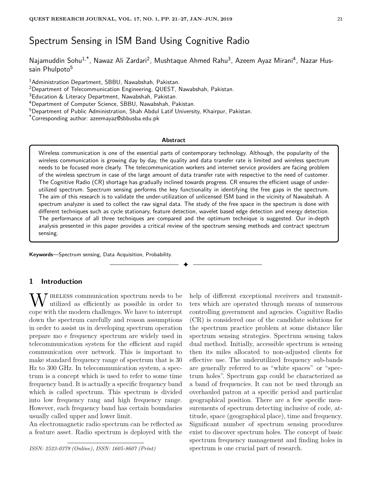# Spectrum Sensing in ISM Band Using Cognitive Radio

Najamuddin Sohu<sup>1,\*</sup>, Nawaz Ali Zardari<sup>2</sup>, Mushtaque Ahmed Rahu<sup>3</sup>, Azeem Ayaz Mirani<sup>4</sup>, Nazar Hussain Phulpoto<sup>5</sup>

<sup>1</sup> Administration Department, SBBU, Nawabshah, Pakistan.

<sup>3</sup>Education & Literacy Department, Nawabshah, Pakistan.

<sup>4</sup>Department of Computer Science, SBBU, Nawabshah, Pakistan.

<sup>5</sup>Department of Public Administration, Shah Abdul Latif University, Khairpur, Pakistan.

\*Corresponding author: azeemayaz@sbbusba.edu.pk

#### **Abstract**

Wireless communication is one of the essential parts of contemporary technology. Although, the popularity of the wireless communication is growing day by day, the quality and data transfer rate is limited and wireless spectrum needs to be focused more clearly. The telecommunication workers and internet service providers are facing problem of the wireless spectrum in case of the large amount of data transfer rate with respective to the need of customer. The Cognitive Radio (CR) shortage has gradually inclined towards progress. CR ensures the efficient usage of underutilized spectrum. Spectrum sensing performs the key functionality in identifying the free gaps in the spectrum. The aim of this research is to validate the under-utilization of unlicensed ISM band in the vicinity of Nawabshah. A spectrum analyzer is used to collect the raw signal data. The study of the free space in the spectrum is done with different techniques such as cycle stationary, feature detection, wavelet based edge detection and energy detection. The performance of all three techniques are compared and the optimum technique is suggested. Our in-depth analysis presented in this paper provides a critical review of the spectrum sensing methods and contract spectrum sensing.

✦

**Keywords**—Spectrum sensing, Data Acquisition, Probability.

## **1 Introduction**

 $\mathbf{W}$  IRELESS communication spectrum needs to be utilized as efficiently as possible in order to cope with the modern challenges. We have to interrupt down the spectrum carefully and reason assumptions in order to assist us in developing spectrum operation prepare mo e frequency spectrum are widely used in telecommunication system for the efficient and rapid communication over network. This is important to make standard frequency range of spectrum that is 30 Hz to 300 GHz. In telecommunication system, a spectrum is a concept which is used to refer to some time frequency band. It is actually a specific frequency band which is called spectrum. This spectrum is divided into low frequency rang and high frequency range. However, each frequency band has certain boundaries usually called upper and lower limit.

An electromagnetic radio spectrum can be reflected as a feature asset. Radio spectrum is deployed with the

*ISSN: 2523-0379 (Online), ISSN: 1605-8607 (Print)*

help of different exceptional receivers and transmitters which are operated through means of numerous controlling government and agencies. Cognitive Radio (CR) is considered one of the candidate solutions for the spectrum practice problem at some distance like spectrum sensing strategies. Spectrum sensing takes dual method. Initially, accessible spectrum is sensing then its miles allocated to non-adjusted clients for effective use. The underutilized frequency sub-bands are generally referred to as "white spaces" or "spectrum holes". Spectrum gap could be characterized as a band of frequencies. It can not be used through an overhauled patron at a specific period and particular geographical position. There are a few specific measurements of spectrum detecting inclusive of code, attitude, space (geographical place), time and frequency. Significant number of spectrum sensing procedures exist to discover spectrum holes. The concept of basic spectrum frequency management and finding holes in spectrum is one crucial part of research.

<sup>&</sup>lt;sup>2</sup>Department of Telecommunication Engineering, QUEST, Nawabshah, Pakistan.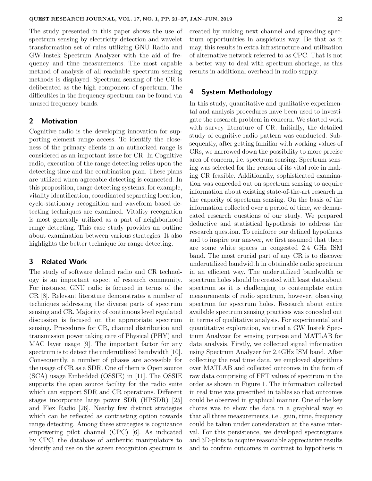The study presented in this paper shows the use of spectrum sensing by electricity detection and wavelet transformation set of rules utilizing GNU Radio and GW-Instek Spectrum Analyzer with the aid of frequency and time measurements. The most capable method of analysis of all reachable spectrum sensing methods is displayed. Spectrum sensing of the CR is deliberated as the high component of spectrum. The difficulties in the frequency spectrum can be found via unused frequency bands.

### **2 Motivation**

Cognitive radio is the developing innovation for supporting element range access. To identify the closeness of the primary clients in an authorized range is considered as an important issue for CR. In Cognitive radio, execution of the range detecting relies upon the detecting time and the combination plan. These plans are utilized when agreeable detecting is connected. In this proposition, range detecting systems, for example, vitality identification, coordinated separating location, cyclo-stationary recognition and waveform based detecting techniques are examined. Vitality recognition is most generally utilized as a part of neighborhood range detecting. This case study provides an outline about examination between various strategies. It also highlights the better technique for range detecting.

# **3 Related Work**

The study of software defined radio and CR technology is an important aspect of research community. For instance, GNU radio is focused in terms of the CR [8]. Relevant literature demonstrates a number of techniques addressing the diverse parts of spectrum sensing and CR. Majority of continuous level regulated discussion is focused on the appropriate spectrum sensing. Procedures for CR, channel distribution and transmission power taking care of Physical (PHY) and MAC layer usage [9]. The important factor for any spectrum is to detect the underutilized bandwidth [10]. Consequently, a number of phases are accessible for the usage of CR as a SDR. One of them is Open source (SCA) usage Embedded (OSSIE) in [11]. The OSSIE supports the open source facility for the radio suite which can support SDR and CR operations. Different stages incorporate large power SDR (HPSDR) [25] and Flex Radio [26]. Nearby few distinct strategies which can be reflected as contrasting option towards range detecting. Among these strategies is cognizance empowering pilot channel (CPC) [6]. As indicated by CPC, the database of authentic manipulators to identify and use on the screen recognition spectrum is created by making next channel and spreading spectrum opportunities in auspicious way. Be that as it may, this results in extra infrastructure and utilization of alternative network referred to as CPC. That is not a better way to deal with spectrum shortage, as this results in additional overhead in radio supply.

### **4 System Methodology**

In this study, quantitative and qualitative experimental and analysis procedures have been used to investigate the research problem in concern. We started work with survey literature of CR. Initially, the detailed study of cognitive radio pattern was conducted. Subsequently, after getting familiar with working values of CRs, we narrowed down the possibility to more precise area of concern, i.e. spectrum sensing. Spectrum sensing was selected for the reason of its vital role in making CR feasible. Additionally, sophisticated examination was conceded out on spectrum sensing to acquire information about existing state-of-the-art research in the capacity of spectrum sensing. On the basis of the information collected over a period of time, we demarcated research questions of our study. We prepared deductive and statistical hypothesis to address the research question. To reinforce our defined hypothesis and to inspire our answer, we first assumed that there are some white spaces in congested 2.4 GHz ISM band. The most crucial part of any CR is to discover underutilized bandwidth in obtainable radio spectrum in an efficient way. The underutilized bandwidth or spectrum holes should be created with least data about spectrum as it is challenging to contemplate entire measurements of radio spectrum, however, observing spectrum for spectrum holes. Research about entire available spectrum sensing practices was conceded out in terms of qualitative analysis. For experimental and quantitative exploration, we tried a GW Instek Spectrum Analyzer for sensing purpose and MATLAB for data analysis. Firstly, we collected signal information using Spectrum Analyzer for 2.4GHz ISM band. After collecting the real time data, we employed algorithms over MATLAB and collected outcomes in the form of raw data comprising of FFT values of spectrum in the order as shown in Figure 1. The information collected in real time was prescribed in tables so that outcomes could be observed in graphical manner. One of the key chores was to show the data in a graphical way so that all three measurements, i.e., gain, time, frequency could be taken under consideration at the same interval. For this persistence, we developed spectrograms and 3D-plots to acquire reasonable appreciative results and to confirm outcomes in contrast to hypothesis in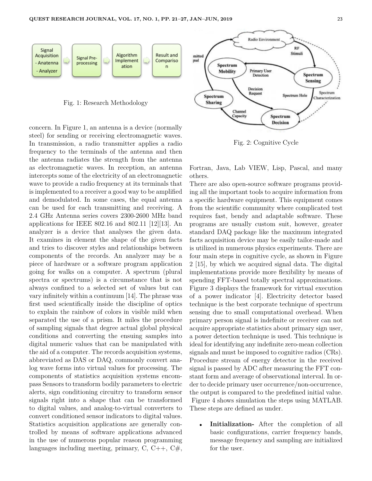

concern. In Figure 1, an antenna is a device (normally steel) for sending or receiving electromagnetic waves. In transmission, a radio transmitter applies a radio frequency to the terminals of the antenna and then the antenna radiates the strength from the antenna as electromagnetic waves. In reception, an antenna intercepts some of the electricity of an electromagnetic wave to provide a radio frequency at its terminals that is implemented to a receiver a good way to be amplified and demodulated. In some cases, the equal antenna can be used for each transmitting and receiving. A 2.4 GHz Antenna series covers 2300-2600 MHz band applications for IEEE 802.16 and 802.11 [12][13]. An analyzer is a device that analyses the given data. It examines in element the shape of the given facts and tries to discover styles and relationships between components of the records. An analyzer may be a piece of hardware or a software program application going for walks on a computer. A spectrum (plural spectra or spectrums) is a circumstance that is not always confined to a selected set of values but can vary infinitely within a continuum [14]. The phrase was first used scientifically inside the discipline of optics to explain the rainbow of colors in visible mild when separated the use of a prism. It miles the procedure of sampling signals that degree actual global physical conditions and converting the ensuing samples into digital numeric values that can be manipulated with the aid of a computer. The records acquisition systems, abbreviated as DAS or DAQ, commonly convert analog wave forms into virtual values for processing. The components of statistics acquisition systems encompass Sensors to transform bodily parameters to electric alerts, sign conditioning circuitry to transform sensor signals right into a shape that can be transformed to digital values, and analog-to-virtual converters to convert conditioned sensor indicators to digital values. Statistics acquisition applications are generally controlled by means of software applications advanced in the use of numerous popular reason programming languages including meeting, primary, C, C++, C#,

Fortran, Java, Lab VIEW, Lisp, Pascal, and many

Spectrum **Decision** 

Fig. 2: Cognitive Cycle

**Sanacity** 

others. There are also open-source software programs providing all the important tools to acquire information from a specific hardware equipment. This equipment comes from the scientific community where complicated test requires fast, bendy and adaptable software. These programs are usually custom suit, however, greater standard DAQ package like the maximum integrated facts acquisition device may be easily tailor-made and is utilized in numerous physics experiments. There are four main steps in cognitive cycle, as shown in Figure 2 [15], by which we acquired signal data. The digital implementations provide more flexibility by means of spending FFT-based totally spectral approximations. Figure 3 displays the framework for virtual execution of a power indicator [4]. Electricity detector based technique is the best corporate technique of spectrum sensing due to small computational overhead. When primary person signal is indefinite or receiver can not acquire appropriate statistics about primary sign user. a power detection technique is used. This technique is ideal for identifying any indefinite zero-mean collection signals and must be imposed to cognitive radios (CRs). Procedure stream of energy detector in the received signal is passed by ADC after measuring the FFT constant form and average of observational interval. In order to decide primary user occurrence/non-occurrence, the output is compared to the predefined initial value. Figure 4 shows simulation the steps using MATLAB. These steps are defined as under.

• **Initialization-** After the completion of all basic configurations, carrier frequency bands, message frequency and sampling are initialized for the user.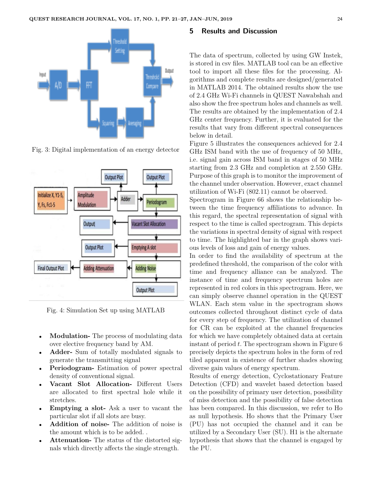

Fig. 3: Digital implementation of an energy detector



Fig. 4: Simulation Set up using MATLAB

- **Modulation-** The process of modulating data over elective frequency band by AM.
- **Adder-** Sum of totally modulated signals to generate the transmitting signal
- **Periodogram-** Estimation of power spectral density of conventional signal.
- **Vacant Slot Allocation-** Different Users are allocated to first spectral hole while it stretches.
- **Emptying a slot-** Ask a user to vacant the particular slot if all slots are busy.
- **Addition of noise-** The addition of noise is the amount which is to be added. .
- **Attenuation-** The status of the distorted signals which directly affects the single strength.

#### **5 Results and Discussion**

The data of spectrum, collected by using GW Instek, is stored in csv files. MATLAB tool can be an effective tool to import all these files for the processing. Algorithms and complete results are designed/generated in MATLAB 2014. The obtained results show the use of 2.4 GHz Wi-Fi channels in QUEST Nawabshah and also show the free spectrum holes and channels as well. The results are obtained by the implementation of 2.4 GHz center frequency. Further, it is evaluated for the results that vary from different spectral consequences below in detail.

Figure 5 illustrates the consequences achieved for 2.4 GHz ISM band with the use of frequency of 50 MHz, i.e. signal gain across ISM band in stages of 50 MHz starting from 2.3 GHz and completion at 2.550 GHz. Purpose of this graph is to monitor the improvement of the channel under observation. However, exact channel utilization of Wi-Fi (802.11) cannot be observed.

Spectrogram in Figure 66 shows the relationship between the time frequency affiliations to advance. In this regard, the spectral representation of signal with respect to the time is called spectrogram. This depicts the variations in spectral density of signal with respect to time. The highlighted bar in the graph shows various levels of loss and gain of energy values.

In order to find the availability of spectrum at the predefined threshold, the comparison of the color with time and frequency alliance can be analyzed. The instance of time and frequency spectrum holes are represented in red colors in this spectrogram. Here, we can simply observe channel operation in the QUEST WLAN. Each stem value in the spectrogram shows outcomes collected throughout distinct cycle of data for every step of frequency. The utilization of channel for CR can be exploited at the channel frequencies for which we have completely obtained data at certain instant of period *t*. The spectrogram shown in Figure 6 precisely depicts the spectrum holes in the form of red tiled apparent in existence of further shades showing diverse gain values of energy spectrum.

Results of energy detection, Cyclostationary Feature Detection (CFD) and wavelet based detection based on the possibility of primary user detection, possibility of miss detection and the possibility of false detection has been compared. In this discussion, we refer to Ho as null hypothesis. Ho shows that the Primary User (PU) has not occupied the channel and it can be utilized by a Secondary User (SU). H1 is the alternate hypothesis that shows that the channel is engaged by the PU.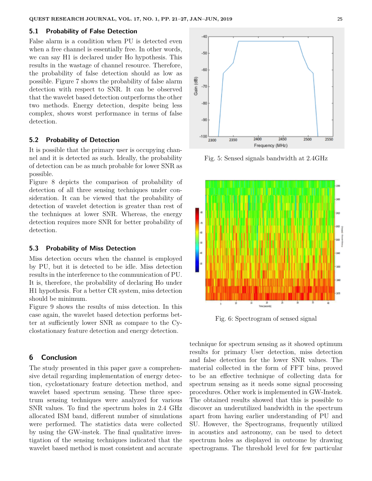#### **5.1 Probability of False Detection**

False alarm is a condition when PU is detected even when a free channel is essentially free. In other words, we can say H1 is declared under Ho hypothesis. This results in the wastage of channel resource. Therefore, the probability of false detection should as low as possible. Figure 7 shows the probability of false alarm detection with respect to SNR. It can be observed that the wavelet based detection outperforms the other two methods. Energy detection, despite being less complex, shows worst performance in terms of false detection.

#### **5.2 Probability of Detection**

It is possible that the primary user is occupying channel and it is detected as such. Ideally, the probability of detection can be as much probable for lower SNR as possible.

Figure 8 depicts the comparison of probability of detection of all three sensing techniques under consideration. It can be viewed that the probability of detection of wavelet detection is greater than rest of the techniques at lower SNR. Whereas, the energy detection requires more SNR for better probability of detection.

#### **5.3 Probability of Miss Detection**

Miss detection occurs when the channel is employed by PU, but it is detected to be idle. Miss detection results in the interference to the communication of PU. It is, therefore, the probability of declaring Ho under H1 hypothesis. For a better CR system, miss detection should be minimum.

Figure 9 shows the results of miss detection. In this case again, the wavelet based detection performs better at sufficiently lower SNR as compare to the Cyclostationary feature detection and energy detection.

### **6 Conclusion**

The study presented in this paper gave a comprehensive detail regarding implementation of energy detection, cyclostationary feature detection method, and wavelet based spectrum sensing. These three spectrum sensing techniques were analyzed for various SNR values. To find the spectrum holes in 2.4 GHz allocated ISM band, different number of simulations were performed. The statistics data were collected by using the GW-instek. The final qualitative investigation of the sensing techniques indicated that the wavelet based method is most consistent and accurate



Fig. 5: Sensed signals bandwidth at 2.4GHz



Fig. 6: Spectrogram of sensed signal

technique for spectrum sensing as it showed optimum results for primary User detection, miss detection and false detection for the lower SNR values. The material collected in the form of FFT bins, proved to be an effective technique of collecting data for spectrum sensing as it needs some signal processing procedures. Other work is implemented in GW-Instek. The obtained results showed that this is possible to discover an underutilized bandwidth in the spectrum apart from having earlier understanding of PU and SU. However, the Spectrograms, frequently utilized in acoustics and astronomy, can be used to detect spectrum holes as displayed in outcome by drawing spectrograms. The threshold level for few particular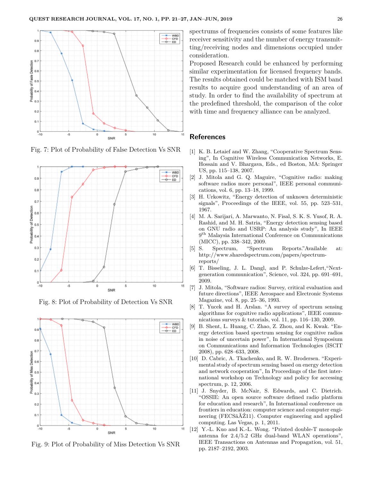

Fig. 7: Plot of Probability of False Detection Vs SNR



Fig. 8: Plot of Probability of Detection Vs SNR



Fig. 9: Plot of Probability of Miss Detection Vs SNR

spectrums of frequencies consists of some features like receiver sensitivity and the number of energy transmitting/receiving nodes and dimensions occupied under consideration.

Proposed Research could be enhanced by performing similar experimentation for licensed frequency bands. The results obtained could be matched with ISM band results to acquire good understanding of an area of study. In order to find the availability of spectrum at the predefined threshold, the comparison of the color with time and frequency alliance can be analyzed.

### **References**

- [1] K. B. Letaief and W. Zhang, "Cooperative Spectrum Sensing", In Cognitive Wireless Communication Networks, E. Hossain and V. Bhargava, Eds., ed Boston, MA: Springer US, pp. 115–138, 2007.
- [2] J. Mitola and G. Q. Maguire, "Cognitive radio: making software radios more personal", IEEE personal communications, vol. 6, pp. 13–18, 1999.
- [3] H. Urkowitz, "Energy detection of unknown deterministic signals", Proceedings of the IEEE, vol. 55, pp. 523–531, 1967.
- [4] M. A. Sarijari, A. Marwanto, N. Fisal, S. K. S. Yusof, R. A. Rashid, and M. H. Satria, "Energy detection sensing based on GNU radio and USRP: An analysis study", In IEEE  $9<sup>th</sup>$  Malaysia International Conference on Communications (MICC), pp. 338–342, 2009.
- [5] S. Spectrum, "Spectrum Reports."Available at: http://www.sharedspectrum.com/papers/spectrumreports/
- [6] T. Bisseling, J. L. Dangl, and P. Schulze-Lefert,"Nextgeneration communication", Science, vol. 324, pp. 691–691, 2009.
- [7] J. Mitola, "Software radios: Survey, critical evaluation and future directions", IEEE Aerospace and Electronic Systems Magazine, vol. 8, pp. 25–36, 1993.
- [8] T. Yucek and H. Arslan. "A survey of spectrum sensing algorithms for cognitive radio applications", IEEE communications surveys & tutorials, vol. 11, pp. 116–130, 2009.
- [9] B. Shent, L. Huang, C. Zhao, Z. Zhou, and K. Kwak. "Energy detection based spectrum sensing for cognitive radios in noise of uncertain power", In International Symposium on Communications and Information Technologies (ISCIT 2008), pp. 628–633, 2008.
- [10] D. Cabric, A. Tkachenko, and R. W. Brodersen. "Experimental study of spectrum sensing based on energy detection and network cooperation", In Proceedings of the first international workshop on Technology and policy for accessing spectrum, p. 12, 2006.
- [11] J. Snyder, B. McNair, S. Edwards, and C. Dietrich. "OSSIE: An open source software defined radio platform for education and research", In International conference on frontiers in education: computer science and computer engineering (FECSâĂŹ11). Computer engineering and applied computing. Las Vegas, p. 1, 2011.
- [12] Y.-L. Kuo and K.-L. Wong. "Printed double-T monopole antenna for 2.4/5.2 GHz dual-band WLAN operations", IEEE Transactions on Antennas and Propagation, vol. 51, pp. 2187–2192, 2003.